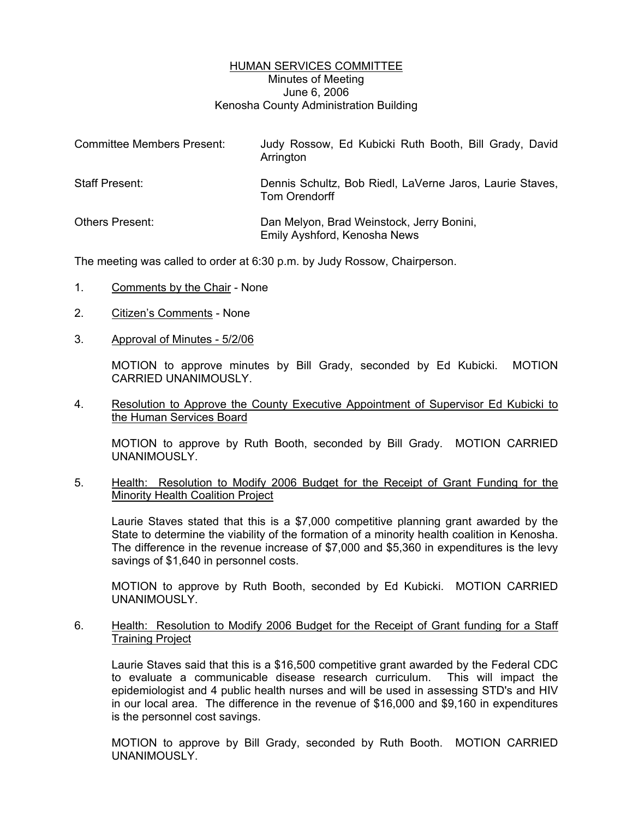# HUMAN SERVICES COMMITTEE Minutes of Meeting June 6, 2006 Kenosha County Administration Building

| <b>Committee Members Present:</b> | Judy Rossow, Ed Kubicki Ruth Booth, Bill Grady, David<br>Arrington        |
|-----------------------------------|---------------------------------------------------------------------------|
| Staff Present:                    | Dennis Schultz, Bob Riedl, LaVerne Jaros, Laurie Staves,<br>Tom Orendorff |
| Others Present:                   | Dan Melyon, Brad Weinstock, Jerry Bonini,<br>Emily Ayshford, Kenosha News |

The meeting was called to order at 6:30 p.m. by Judy Rossow, Chairperson.

- 1. Comments by the Chair None
- 2. Citizen's Comments None
- 3. Approval of Minutes 5/2/06

MOTION to approve minutes by Bill Grady, seconded by Ed Kubicki. MOTION CARRIED UNANIMOUSLY.

4. Resolution to Approve the County Executive Appointment of Supervisor Ed Kubicki to the Human Services Board

MOTION to approve by Ruth Booth, seconded by Bill Grady. MOTION CARRIED UNANIMOUSLY.

5. Health: Resolution to Modify 2006 Budget for the Receipt of Grant Funding for the Minority Health Coalition Project

Laurie Staves stated that this is a \$7,000 competitive planning grant awarded by the State to determine the viability of the formation of a minority health coalition in Kenosha. The difference in the revenue increase of \$7,000 and \$5,360 in expenditures is the levy savings of \$1,640 in personnel costs.

MOTION to approve by Ruth Booth, seconded by Ed Kubicki. MOTION CARRIED UNANIMOUSLY.

6. Health: Resolution to Modify 2006 Budget for the Receipt of Grant funding for a Staff Training Project

Laurie Staves said that this is a \$16,500 competitive grant awarded by the Federal CDC to evaluate a communicable disease research curriculum. This will impact the epidemiologist and 4 public health nurses and will be used in assessing STD's and HIV in our local area. The difference in the revenue of \$16,000 and \$9,160 in expenditures is the personnel cost savings.

MOTION to approve by Bill Grady, seconded by Ruth Booth. MOTION CARRIED UNANIMOUSLY.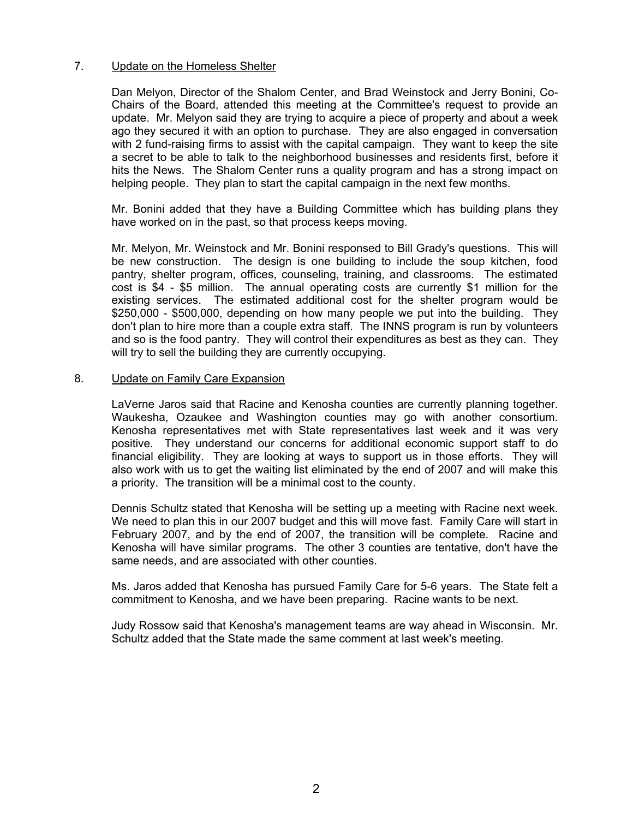## 7. Update on the Homeless Shelter

Dan Melyon, Director of the Shalom Center, and Brad Weinstock and Jerry Bonini, Co-Chairs of the Board, attended this meeting at the Committee's request to provide an update. Mr. Melyon said they are trying to acquire a piece of property and about a week ago they secured it with an option to purchase. They are also engaged in conversation with 2 fund-raising firms to assist with the capital campaign. They want to keep the site a secret to be able to talk to the neighborhood businesses and residents first, before it hits the News. The Shalom Center runs a quality program and has a strong impact on helping people. They plan to start the capital campaign in the next few months.

Mr. Bonini added that they have a Building Committee which has building plans they have worked on in the past, so that process keeps moving.

Mr. Melyon, Mr. Weinstock and Mr. Bonini responsed to Bill Grady's questions. This will be new construction. The design is one building to include the soup kitchen, food pantry, shelter program, offices, counseling, training, and classrooms. The estimated cost is \$4 - \$5 million. The annual operating costs are currently \$1 million for the existing services. The estimated additional cost for the shelter program would be \$250,000 - \$500,000, depending on how many people we put into the building. They don't plan to hire more than a couple extra staff. The INNS program is run by volunteers and so is the food pantry. They will control their expenditures as best as they can. They will try to sell the building they are currently occupying.

### 8. Update on Family Care Expansion

LaVerne Jaros said that Racine and Kenosha counties are currently planning together. Waukesha, Ozaukee and Washington counties may go with another consortium. Kenosha representatives met with State representatives last week and it was very positive. They understand our concerns for additional economic support staff to do financial eligibility. They are looking at ways to support us in those efforts. They will also work with us to get the waiting list eliminated by the end of 2007 and will make this a priority. The transition will be a minimal cost to the county.

Dennis Schultz stated that Kenosha will be setting up a meeting with Racine next week. We need to plan this in our 2007 budget and this will move fast. Family Care will start in February 2007, and by the end of 2007, the transition will be complete. Racine and Kenosha will have similar programs. The other 3 counties are tentative, don't have the same needs, and are associated with other counties.

Ms. Jaros added that Kenosha has pursued Family Care for 5-6 years. The State felt a commitment to Kenosha, and we have been preparing. Racine wants to be next.

Judy Rossow said that Kenosha's management teams are way ahead in Wisconsin. Mr. Schultz added that the State made the same comment at last week's meeting.